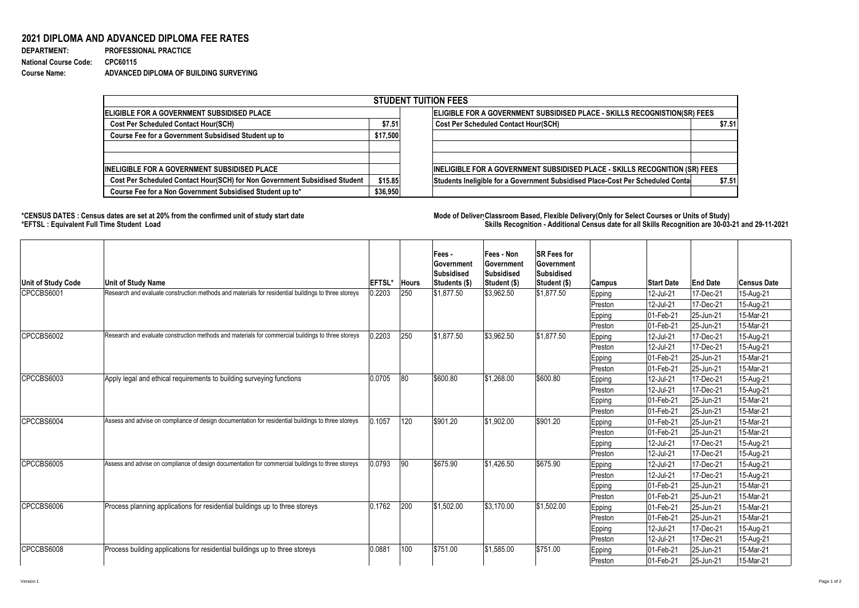## **2021 DIPLOMA AND ADVANCED DIPLOMA FEE RATES**

| <b>DEPARTMENT:</b>    | <b>PROFESSIONAL PRACTICE</b>           |
|-----------------------|----------------------------------------|
| National Course Code: | CPC60115                               |
| <b>Course Name:</b>   | ADVANCED DIPLOMA OF BUILDING SURVEYING |

## **\*CENSUS DATES : Census dates are set at 20% from the confirmed unit of study start date Mode of Delivery:Classroom Based, Flexible Delivery(Only for Select Courses or Units of Study) \*EFTSL : Equivalent Full Time Student Load Skills Recognition - Additional Census date for all Skills Recognition are 30-03-21 and 29-11-2021**



| <b>STUDENT TUITION FEES</b>                                                |          |                                                                                    |        |  |  |  |  |  |
|----------------------------------------------------------------------------|----------|------------------------------------------------------------------------------------|--------|--|--|--|--|--|
| ELIGIBLE FOR A GOVERNMENT SUBSIDISED PLACE                                 |          | ELIGIBLE FOR A GOVERNMENT SUBSIDISED PLACE - SKILLS RECOGNISTION(SR) FEES          |        |  |  |  |  |  |
| <b>Cost Per Scheduled Contact Hour(SCH)</b>                                |          | <b>Cost Per Scheduled Contact Hour(SCH)</b>                                        | \$7.51 |  |  |  |  |  |
| <b>Course Fee for a Government Subsidised Student up to</b>                | \$17,500 |                                                                                    |        |  |  |  |  |  |
|                                                                            |          |                                                                                    |        |  |  |  |  |  |
| <b>INELIGIBLE FOR A GOVERNMENT SUBSIDISED PLACE</b>                        |          | <b>INELIGIBLE FOR A GOVERNMENT SUBSIDISED PLACE - SKILLS RECOGNITION (SR) FEES</b> |        |  |  |  |  |  |
| Cost Per Scheduled Contact Hour(SCH) for Non Government Subsidised Student | \$15.85  | Students Ineligible for a Government Subsidised Place-Cost Per Scheduled Conta     | \$7.51 |  |  |  |  |  |
| Course Fee for a Non Government Subsidised Student up to*                  | \$36,950 |                                                                                    |        |  |  |  |  |  |

| Unit of Study Code | <b>Unit of Study Name</b>                                                                           | <b>EFTSL*</b> | <b>Hours</b> | Fees -<br><b>Government</b><br><b>Subsidised</b><br> Students (\$) | <b>Fees - Non</b><br><b>Government</b><br>Subsidised<br><b>Student (\$)</b> | <b>SR Fees for</b><br><b>Government</b><br><b>Subsidised</b><br><b>Student (\$)</b> | <b>Campus</b> | <b>Start Date</b>       | <b>End Date</b>                                                                                                                                                                                                                                                                                                         | <b>Census Date</b> |
|--------------------|-----------------------------------------------------------------------------------------------------|---------------|--------------|--------------------------------------------------------------------|-----------------------------------------------------------------------------|-------------------------------------------------------------------------------------|---------------|-------------------------|-------------------------------------------------------------------------------------------------------------------------------------------------------------------------------------------------------------------------------------------------------------------------------------------------------------------------|--------------------|
| CPCCBS6001         | Research and evaluate construction methods and materials for residential buildings to three storeys | 0.2203        | 250          | \$1,877.50                                                         | $\frac{1}{3}$ ,962.50                                                       | \$1,877.50                                                                          | <b>Epping</b> | 12-Jul-21               | 17-Dec-21                                                                                                                                                                                                                                                                                                               | 15-Aug-21          |
|                    |                                                                                                     |               |              |                                                                    |                                                                             |                                                                                     | Preston       | 12-Jul-21               | 17-Dec-21<br>25-Jun-21 <br>25-Jun-21<br>17-Dec-21<br>17-Dec-21<br>25-Jun-21<br>25-Jun-21<br>17-Dec-21<br>17-Dec-21<br>$ 25 - Jun-21 $<br>25-Jun-21<br>25-Jun-21<br>25-Jun-21<br>17-Dec-21<br>17-Dec-21<br>17-Dec-21<br>17-Dec-21<br> 25-Jun-21<br>$ 25 - Jun-21 $<br> 25-Jun-21<br>25-Jun-21 <br>17-Dec-21<br>17-Dec-21 | 15-Aug-21          |
|                    |                                                                                                     |               |              |                                                                    |                                                                             |                                                                                     | <b>Epping</b> | $ 01 - \text{Feb} - 21$ |                                                                                                                                                                                                                                                                                                                         | 15-Mar-21          |
|                    |                                                                                                     |               |              |                                                                    |                                                                             |                                                                                     | Preston       | $ 01 - \text{Feb} - 21$ |                                                                                                                                                                                                                                                                                                                         | 15-Mar-21          |
| CPCCBS6002         | Research and evaluate construction methods and materials for commercial buildings to three storeys  | 0.2203        | 250          | \$1,877.50                                                         | $\frac{1}{3}$ ,962.50                                                       | \$1,877.50                                                                          | <b>Epping</b> | 12-Jul-21               |                                                                                                                                                                                                                                                                                                                         | 15-Aug-21          |
|                    |                                                                                                     |               |              |                                                                    |                                                                             |                                                                                     | Preston       | $12$ -Jul-21            |                                                                                                                                                                                                                                                                                                                         | 15-Aug-21          |
|                    |                                                                                                     |               |              |                                                                    |                                                                             |                                                                                     | Epping        | $ 01 - \text{Feb} - 21$ |                                                                                                                                                                                                                                                                                                                         | 15-Mar-21          |
|                    |                                                                                                     |               |              |                                                                    |                                                                             |                                                                                     | Preston       | $ 01 - \text{Feb} - 21$ |                                                                                                                                                                                                                                                                                                                         | 15-Mar-21          |
| CPCCBS6003         | Apply legal and ethical requirements to building surveying functions                                | 0.0705        | 80           | \$600.80                                                           | \$1,268.00                                                                  | \$600.80                                                                            | <b>Epping</b> | 12-Jul-21               |                                                                                                                                                                                                                                                                                                                         | 15-Aug-21          |
|                    |                                                                                                     |               |              |                                                                    |                                                                             |                                                                                     | Preston       | 12-Jul-21               |                                                                                                                                                                                                                                                                                                                         | 15-Aug-21          |
|                    |                                                                                                     |               |              |                                                                    |                                                                             |                                                                                     | Epping        | $ 01 - \text{Feb} - 21$ |                                                                                                                                                                                                                                                                                                                         | 15-Mar-21          |
|                    |                                                                                                     |               |              |                                                                    |                                                                             |                                                                                     | Preston       | $ 01 - Feb - 21$        |                                                                                                                                                                                                                                                                                                                         | 15-Mar-21          |
| CPCCBS6004         | Assess and advise on compliance of design documentation for residential buildings to three storeys  | 0.1057        | 120          | \$901.20                                                           | \$1,902.00                                                                  | \$901.20                                                                            | Epping        | $ 01 - \text{Feb} - 21$ |                                                                                                                                                                                                                                                                                                                         | 15-Mar-21          |
|                    |                                                                                                     |               |              |                                                                    |                                                                             |                                                                                     | Preston       | $ 01 - Feb - 21 $       | $ 12$ -Jul-21<br>12-Jul-21<br> 12-Jul-21<br>12-Jul-21<br>$ 01 - \text{Feb} - 21$<br>$ 01 - \text{Feb} - 21$<br>$ 01 - \text{Feb} - 21$<br>$ 01 - \text{Feb} - 21$<br>12-Jul-21                                                                                                                                          | 15-Mar-21          |
|                    |                                                                                                     |               |              |                                                                    |                                                                             |                                                                                     | <b>Epping</b> |                         |                                                                                                                                                                                                                                                                                                                         | 15-Aug-21          |
|                    |                                                                                                     |               |              |                                                                    |                                                                             |                                                                                     | Preston       |                         |                                                                                                                                                                                                                                                                                                                         | 15-Aug-21          |
| CPCCBS6005         | Assess and advise on compliance of design documentation for commercial buildings to three storeys   | 0.0793        | 90           | \$675.90                                                           | $\frac{1}{1}$ \$1,426.50                                                    | \$675.90                                                                            | <b>Epping</b> |                         |                                                                                                                                                                                                                                                                                                                         | 15-Aug-21          |
|                    |                                                                                                     |               |              |                                                                    |                                                                             |                                                                                     | Preston       |                         |                                                                                                                                                                                                                                                                                                                         | 15-Aug-21          |
|                    |                                                                                                     |               |              |                                                                    |                                                                             |                                                                                     | <b>Epping</b> |                         |                                                                                                                                                                                                                                                                                                                         | 15-Mar-21          |
|                    |                                                                                                     |               |              |                                                                    |                                                                             |                                                                                     | Preston       |                         |                                                                                                                                                                                                                                                                                                                         | 15-Mar-21          |
| CPCCBS6006         | Process planning applications for residential buildings up to three storeys                         | 0.1762        | 200          | \$1,502.00                                                         | $\frac{1}{3}$ , 170.00                                                      | \$1,502.00                                                                          | <b>Epping</b> |                         |                                                                                                                                                                                                                                                                                                                         | 15-Mar-21          |
|                    |                                                                                                     |               |              |                                                                    |                                                                             |                                                                                     | Preston       |                         |                                                                                                                                                                                                                                                                                                                         | 15-Mar-21          |
|                    |                                                                                                     |               |              |                                                                    |                                                                             |                                                                                     | <b>Epping</b> |                         |                                                                                                                                                                                                                                                                                                                         | 15-Aug-21          |
|                    |                                                                                                     |               |              |                                                                    |                                                                             |                                                                                     | Preston       | 12-Jul-21               |                                                                                                                                                                                                                                                                                                                         | 15-Aug-21          |
| CPCCBS6008         | Process building applications for residential buildings up to three storeys                         | 0.0881        | 100          | \$751.00                                                           | \$1,585.00                                                                  | \$751.00                                                                            | <b>Epping</b> | $ 01 - \text{Feb} - 21$ | $ 25 - Jun-21 $                                                                                                                                                                                                                                                                                                         | 15-Mar-21          |
|                    |                                                                                                     |               |              |                                                                    |                                                                             |                                                                                     | Preston       | $ 01 - \text{Feb} - 21$ | $ 25 - Jun-21 $                                                                                                                                                                                                                                                                                                         | 15-Mar-21          |

Version 1 Page 1 of 2